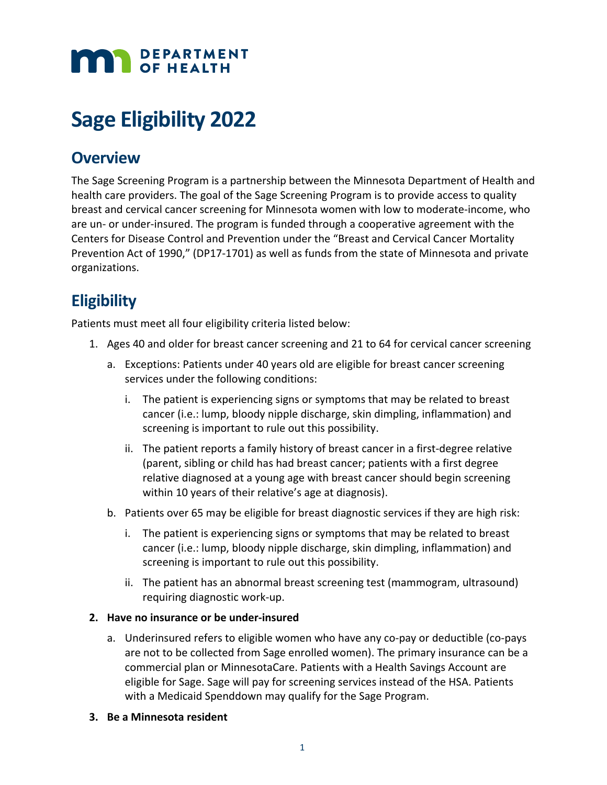

# **Sage Eligibility 2022**

### **Overview**

The Sage Screening Program is a partnership between the Minnesota Department of Health and health care providers. The goal of the Sage Screening Program is to provide access to quality breast and cervical cancer screening for Minnesota women with low to moderate‐income, who are un‐ or under‐insured. The program is funded through a cooperative agreement with the Centers for Disease Control and Prevention under the "Breast and Cervical Cancer Mortality Prevention Act of 1990," (DP17‐1701) as well as funds from the state of Minnesota and private organizations.

## **Eligibility**

Patients must meet all four eligibility criteria listed below:

- 1. Ages 40 and older for breast cancer screening and 21 to 64 for cervical cancer screening
	- a. Exceptions: Patients under 40 years old are eligible for breast cancer screening services under the following conditions:
		- i. The patient is experiencing signs or symptoms that may be related to breast cancer (i.e.: lump, bloody nipple discharge, skin dimpling, inflammation) and screening is important to rule out this possibility.
		- ii. The patient reports a family history of breast cancer in a first‐degree relative (parent, sibling or child has had breast cancer; patients with a first degree relative diagnosed at a young age with breast cancer should begin screening within 10 years of their relative's age at diagnosis).
	- b. Patients over 65 may be eligible for breast diagnostic services if they are high risk:
		- i. The patient is experiencing signs or symptoms that may be related to breast cancer (i.e.: lump, bloody nipple discharge, skin dimpling, inflammation) and screening is important to rule out this possibility.
		- ii. The patient has an abnormal breast screening test (mammogram, ultrasound) requiring diagnostic work‐up.

#### **2. Have no insurance or be under‐insured**

- a. Underinsured refers to eligible women who have any co-pay or deductible (co-pays are not to be collected from Sage enrolled women). The primary insurance can be a commercial plan or MinnesotaCare. Patients with a Health Savings Account are eligible for Sage. Sage will pay for screening services instead of the HSA. Patients with a Medicaid Spenddown may qualify for the Sage Program.
- **3. Be a Minnesota resident**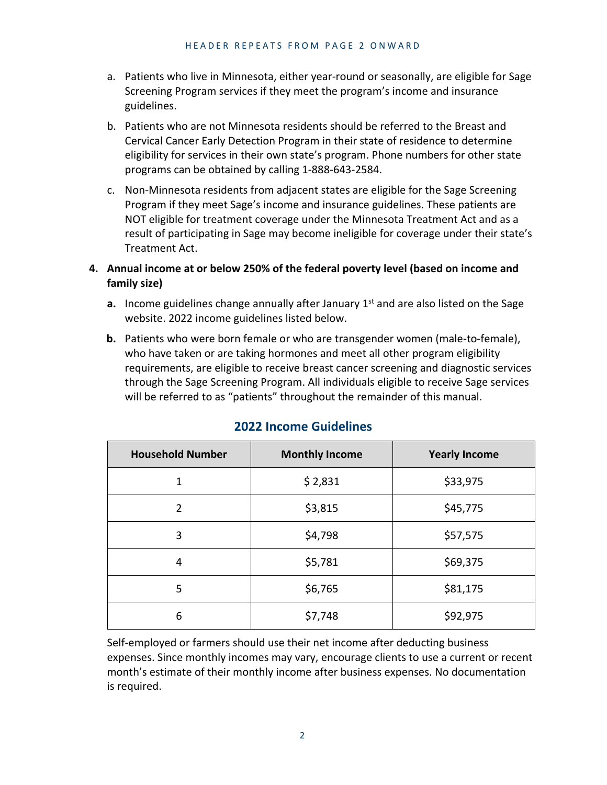- a. Patients who live in Minnesota, either year-round or seasonally, are eligible for Sage Screening Program services if they meet the program's income and insurance guidelines.
- b. Patients who are not Minnesota residents should be referred to the Breast and Cervical Cancer Early Detection Program in their state of residence to determine eligibility for services in their own state's program. Phone numbers for other state programs can be obtained by calling 1‐888‐643‐2584.
- c. Non‐Minnesota residents from adjacent states are eligible for the Sage Screening Program if they meet Sage's income and insurance guidelines. These patients are NOT eligible for treatment coverage under the Minnesota Treatment Act and as a result of participating in Sage may become ineligible for coverage under their state's Treatment Act.
- **4. Annual income at or below 250% of the federal poverty level (based on income and family size)**
	- a. Income guidelines change annually after January 1<sup>st</sup> and are also listed on the Sage website. 2022 income guidelines listed below.
	- **b.** Patients who were born female or who are transgender women (male‐to‐female), who have taken or are taking hormones and meet all other program eligibility requirements, are eligible to receive breast cancer screening and diagnostic services through the Sage Screening Program. All individuals eligible to receive Sage services will be referred to as "patients" throughout the remainder of this manual.

| <b>Household Number</b> | <b>Monthly Income</b> | <b>Yearly Income</b> |
|-------------------------|-----------------------|----------------------|
| 1                       | \$2,831               | \$33,975             |
| 2                       | \$3,815               | \$45,775             |
| 3                       | \$4,798               | \$57,575             |
| 4                       | \$5,781               | \$69,375             |
| 5                       | \$6,765               | \$81,175             |
| 6                       | \$7,748               | \$92,975             |

### **2022 Income Guidelines**

Self-employed or farmers should use their net income after deducting business expenses. Since monthly incomes may vary, encourage clients to use a current or recent month's estimate of their monthly income after business expenses. No documentation is required.